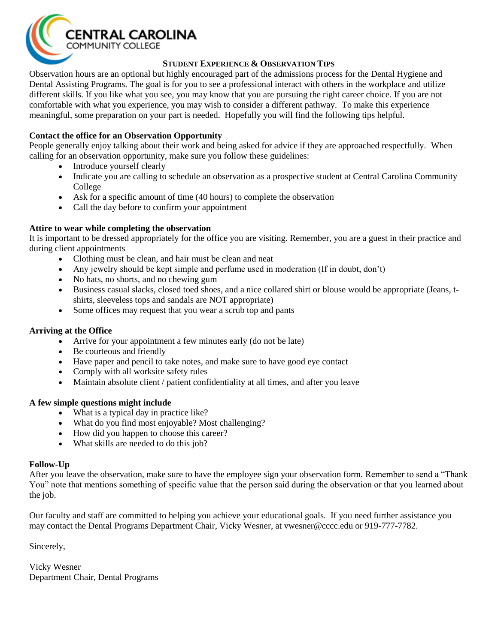

## **STUDENT EXPERIENCE & OBSERVATION TIPS**

Observation hours are an optional but highly encouraged part of the admissions process for the Dental Hygiene and Dental Assisting Programs. The goal is for you to see a professional interact with others in the workplace and utilize different skills. If you like what you see, you may know that you are pursuing the right career choice. If you are not comfortable with what you experience, you may wish to consider a different pathway. To make this experience meaningful, some preparation on your part is needed. Hopefully you will find the following tips helpful.

# **Contact the office for an Observation Opportunity**

People generally enjoy talking about their work and being asked for advice if they are approached respectfully. When calling for an observation opportunity, make sure you follow these guidelines:

- Introduce yourself clearly
- Indicate you are calling to schedule an observation as a prospective student at Central Carolina Community College
- Ask for a specific amount of time (40 hours) to complete the observation
- Call the day before to confirm your appointment

#### **Attire to wear while completing the observation**

It is important to be dressed appropriately for the office you are visiting. Remember, you are a guest in their practice and during client appointments

- Clothing must be clean, and hair must be clean and neat
- Any jewelry should be kept simple and perfume used in moderation (If in doubt, don't)
- No hats, no shorts, and no chewing gum
- Business casual slacks, closed toed shoes, and a nice collared shirt or blouse would be appropriate (Jeans, tshirts, sleeveless tops and sandals are NOT appropriate)
- Some offices may request that you wear a scrub top and pants

### **Arriving at the Office**

- Arrive for your appointment a few minutes early (do not be late)
- Be courteous and friendly
- Have paper and pencil to take notes, and make sure to have good eye contact
- Comply with all worksite safety rules
- Maintain absolute client / patient confidentiality at all times, and after you leave

#### **A few simple questions might include**

- What is a typical day in practice like?
- What do you find most enjoyable? Most challenging?
- How did you happen to choose this career?
- What skills are needed to do this job?

#### **Follow-Up**

After you leave the observation, make sure to have the employee sign your observation form. Remember to send a "Thank You" note that mentions something of specific value that the person said during the observation or that you learned about the job.

Our faculty and staff are committed to helping you achieve your educational goals. If you need further assistance you may contact the Dental Programs Department Chair, Vicky Wesner, at vwesner@cccc.edu or 919-777-7782.

Sincerely,

Vicky Wesner Department Chair, Dental Programs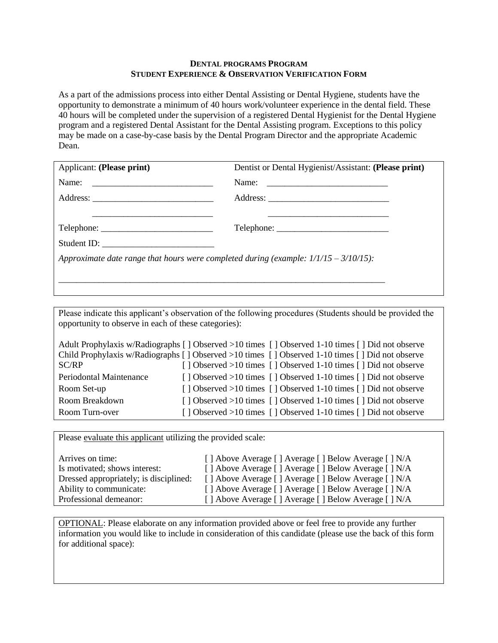#### **DENTAL PROGRAMS PROGRAM STUDENT EXPERIENCE & OBSERVATION VERIFICATION FORM**

As a part of the admissions process into either Dental Assisting or Dental Hygiene, students have the opportunity to demonstrate a minimum of 40 hours work/volunteer experience in the dental field. These 40 hours will be completed under the supervision of a registered Dental Hygienist for the Dental Hygiene program and a registered Dental Assistant for the Dental Assisting program. Exceptions to this policy may be made on a case-by-case basis by the Dental Program Director and the appropriate Academic Dean.

| Applicant: (Please print)                                                               | Dentist or Dental Hygienist/Assistant: (Please print)                                                                                                                                                                                                                                                                                                                                                                                                                                                                                                               |  |  |  |
|-----------------------------------------------------------------------------------------|---------------------------------------------------------------------------------------------------------------------------------------------------------------------------------------------------------------------------------------------------------------------------------------------------------------------------------------------------------------------------------------------------------------------------------------------------------------------------------------------------------------------------------------------------------------------|--|--|--|
|                                                                                         |                                                                                                                                                                                                                                                                                                                                                                                                                                                                                                                                                                     |  |  |  |
|                                                                                         |                                                                                                                                                                                                                                                                                                                                                                                                                                                                                                                                                                     |  |  |  |
|                                                                                         |                                                                                                                                                                                                                                                                                                                                                                                                                                                                                                                                                                     |  |  |  |
| Telephone:                                                                              | $\text{Telephone:}\n \underline{\hspace{2cm}}\n \underline{\hspace{2cm}}\n \underline{\hspace{2cm}}\n \underline{\hspace{2cm}}\n \underline{\hspace{2cm}}\n \underline{\hspace{2cm}}\n \underline{\hspace{2cm}}\n \underline{\hspace{2cm}}\n \underline{\hspace{2cm}}\n \underline{\hspace{2cm}}\n \underline{\hspace{2cm}}\n \underline{\hspace{2cm}}\n \underline{\hspace{2cm}}\n \underline{\hspace{2cm}}\n \underline{\hspace{2cm}}\n \underline{\hspace{2cm}}\n \underline{\hspace{2cm}}\n \underline{\hspace{2cm}}\n \underline{\hspace{2cm}}\n \underline{\$ |  |  |  |
| Student ID:                                                                             |                                                                                                                                                                                                                                                                                                                                                                                                                                                                                                                                                                     |  |  |  |
| Approximate date range that hours were completed during (example: $1/1/15 - 3/10/15$ ): |                                                                                                                                                                                                                                                                                                                                                                                                                                                                                                                                                                     |  |  |  |
|                                                                                         |                                                                                                                                                                                                                                                                                                                                                                                                                                                                                                                                                                     |  |  |  |
|                                                                                         |                                                                                                                                                                                                                                                                                                                                                                                                                                                                                                                                                                     |  |  |  |

Please indicate this applicant's observation of the following procedures (Students should be provided the opportunity to observe in each of these categories):

|                                                                                                 | Adult Prophylaxis w/Radiographs [] Observed >10 times [] Observed 1-10 times [] Did not observe |  |  |  |
|-------------------------------------------------------------------------------------------------|-------------------------------------------------------------------------------------------------|--|--|--|
| Child Prophylaxis w/Radiographs [] Observed >10 times [] Observed 1-10 times [] Did not observe |                                                                                                 |  |  |  |
| SC/RP                                                                                           | [] Observed >10 times [] Observed 1-10 times [] Did not observe                                 |  |  |  |
| Periodontal Maintenance                                                                         | [] Observed >10 times [] Observed 1-10 times [] Did not observe                                 |  |  |  |
| Room Set-up                                                                                     | [] Observed >10 times [] Observed 1-10 times [] Did not observe                                 |  |  |  |
| Room Breakdown                                                                                  | [] Observed >10 times [] Observed 1-10 times [] Did not observe                                 |  |  |  |
| Room Turn-over                                                                                  | [] Observed >10 times [] Observed 1-10 times [] Did not observe                                 |  |  |  |

Please evaluate this applicant utilizing the provided scale:

| Arrives on time:                       | [] Above Average [] Average [] Below Average [] N/A |
|----------------------------------------|-----------------------------------------------------|
| Is motivated; shows interest:          | [] Above Average [] Average [] Below Average [] N/A |
| Dressed appropriately; is disciplined: | [] Above Average [] Average [] Below Average [] N/A |
| Ability to communicate:                | [] Above Average [] Average [] Below Average [] N/A |
| Professional demeanor:                 | [] Above Average [] Average [] Below Average [] N/A |

OPTIONAL: Please elaborate on any information provided above or feel free to provide any further information you would like to include in consideration of this candidate (please use the back of this form for additional space):